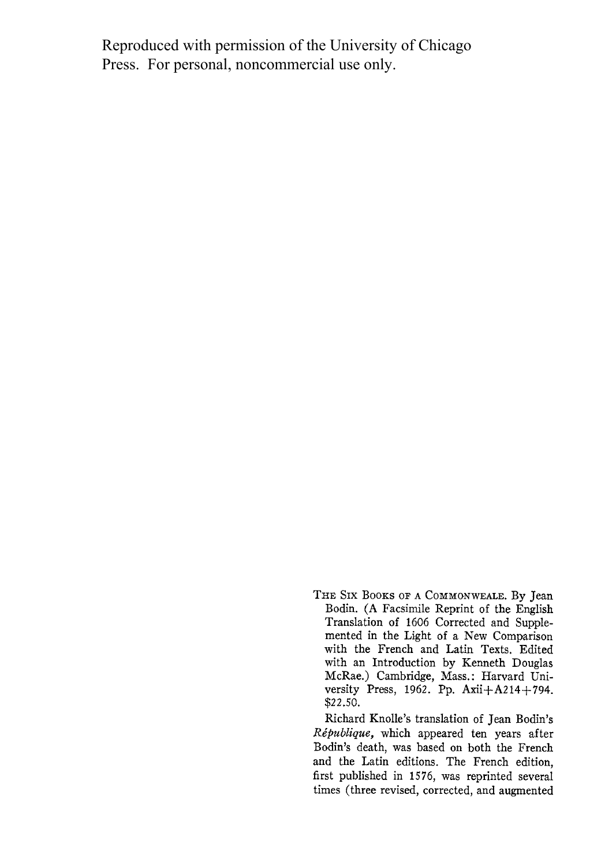Reproduced with permission of the University of Chicago Press. For personal, noncommercial use only.

> **THE Six BOOKS OF A COMMONWEALE. By Jean Bodin. (A Facsimile Reprint of the English Translation of 1606 Corrected and Supplemented in the Light of a New Comparison with the French and Latin Texts. Edited with an Introduction by Kenneth Douglas McRae.) Cambridge, Mass.: Harvard University Press, 1962. Pp. Axii+A214+794. \$22.50.**

> **Richard Knolle's translation of Jean Bodin's Ripublique, which appeared ten years after Bodin's death, was based on both the French and the Latin editions. The French edition, first published in 1576, was reprinted several times (three revised, corrected, and augmented**